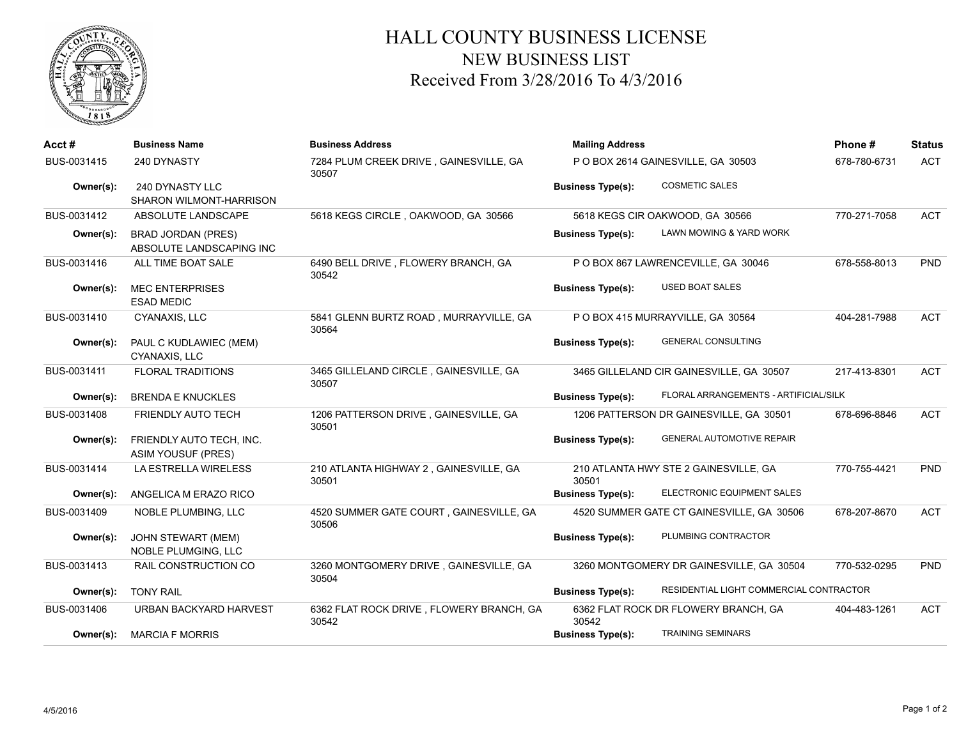

## HALL COUNTY BUSINESS LICENSE NEW BUSINESS LIST Received From 3/28/2016 To 4/3/2016

| Acct#       | <b>Business Name</b>                                  | <b>Business Address</b>                           | <b>Mailing Address</b>   |                                           | Phone#       | <b>Status</b> |
|-------------|-------------------------------------------------------|---------------------------------------------------|--------------------------|-------------------------------------------|--------------|---------------|
| BUS-0031415 | 240 DYNASTY                                           | 7284 PLUM CREEK DRIVE, GAINESVILLE, GA<br>30507   |                          | P O BOX 2614 GAINESVILLE, GA 30503        | 678-780-6731 | <b>ACT</b>    |
| Owner(s):   | 240 DYNASTY LLC<br>SHARON WILMONT-HARRISON            |                                                   | <b>Business Type(s):</b> | <b>COSMETIC SALES</b>                     |              |               |
| BUS-0031412 | ABSOLUTE LANDSCAPE                                    | 5618 KEGS CIRCLE, OAKWOOD, GA 30566               |                          | 5618 KEGS CIR OAKWOOD, GA 30566           | 770-271-7058 | <b>ACT</b>    |
| Owner(s):   | <b>BRAD JORDAN (PRES)</b><br>ABSOLUTE LANDSCAPING INC |                                                   | <b>Business Type(s):</b> | LAWN MOWING & YARD WORK                   |              |               |
| BUS-0031416 | ALL TIME BOAT SALE                                    | 6490 BELL DRIVE, FLOWERY BRANCH, GA<br>30542      |                          | P O BOX 867 LAWRENCEVILLE, GA 30046       | 678-558-8013 | <b>PND</b>    |
| Owner(s):   | <b>MEC ENTERPRISES</b><br><b>ESAD MEDIC</b>           |                                                   | <b>Business Type(s):</b> | <b>USED BOAT SALES</b>                    |              |               |
| BUS-0031410 | CYANAXIS, LLC                                         | 5841 GLENN BURTZ ROAD, MURRAYVILLE, GA<br>30564   |                          | P O BOX 415 MURRAYVILLE, GA 30564         | 404-281-7988 | <b>ACT</b>    |
| Owner(s):   | PAUL C KUDLAWIEC (MEM)<br>CYANAXIS, LLC               |                                                   | <b>Business Type(s):</b> | <b>GENERAL CONSULTING</b>                 |              |               |
| BUS-0031411 | <b>FLORAL TRADITIONS</b>                              | 3465 GILLELAND CIRCLE, GAINESVILLE, GA<br>30507   |                          | 3465 GILLELAND CIR GAINESVILLE, GA 30507  | 217-413-8301 | <b>ACT</b>    |
| Owner(s):   | <b>BRENDA E KNUCKLES</b>                              |                                                   | <b>Business Type(s):</b> | FLORAL ARRANGEMENTS - ARTIFICIAL/SILK     |              |               |
| BUS-0031408 | <b>FRIENDLY AUTO TECH</b>                             | 1206 PATTERSON DRIVE, GAINESVILLE, GA<br>30501    |                          | 1206 PATTERSON DR GAINESVILLE, GA 30501   | 678-696-8846 | <b>ACT</b>    |
| Owner(s):   | FRIENDLY AUTO TECH, INC.<br><b>ASIM YOUSUF (PRES)</b> |                                                   | <b>Business Type(s):</b> | <b>GENERAL AUTOMOTIVE REPAIR</b>          |              |               |
| BUS-0031414 | LA ESTRELLA WIRELESS                                  | 210 ATLANTA HIGHWAY 2, GAINESVILLE, GA<br>30501   | 30501                    | 210 ATLANTA HWY STE 2 GAINESVILLE, GA     | 770-755-4421 | <b>PND</b>    |
| Owner(s):   | ANGELICA M ERAZO RICO                                 |                                                   | <b>Business Type(s):</b> | ELECTRONIC EQUIPMENT SALES                |              |               |
| BUS-0031409 | NOBLE PLUMBING, LLC                                   | 4520 SUMMER GATE COURT, GAINESVILLE, GA<br>30506  |                          | 4520 SUMMER GATE CT GAINESVILLE, GA 30506 | 678-207-8670 | <b>ACT</b>    |
| Owner(s):   | <b>JOHN STEWART (MEM)</b><br>NOBLE PLUMGING, LLC      |                                                   | <b>Business Type(s):</b> | PLUMBING CONTRACTOR                       |              |               |
| BUS-0031413 | RAIL CONSTRUCTION CO                                  | 3260 MONTGOMERY DRIVE, GAINESVILLE, GA<br>30504   |                          | 3260 MONTGOMERY DR GAINESVILLE, GA 30504  | 770-532-0295 | <b>PND</b>    |
| Owner(s):   | <b>TONY RAIL</b>                                      |                                                   | <b>Business Type(s):</b> | RESIDENTIAL LIGHT COMMERCIAL CONTRACTOR   |              |               |
| BUS-0031406 | <b>URBAN BACKYARD HARVEST</b>                         | 6362 FLAT ROCK DRIVE, FLOWERY BRANCH, GA<br>30542 | 30542                    | 6362 FLAT ROCK DR FLOWERY BRANCH, GA      | 404-483-1261 | <b>ACT</b>    |
| Owner(s):   | <b>MARCIA F MORRIS</b>                                |                                                   | <b>Business Type(s):</b> | <b>TRAINING SEMINARS</b>                  |              |               |